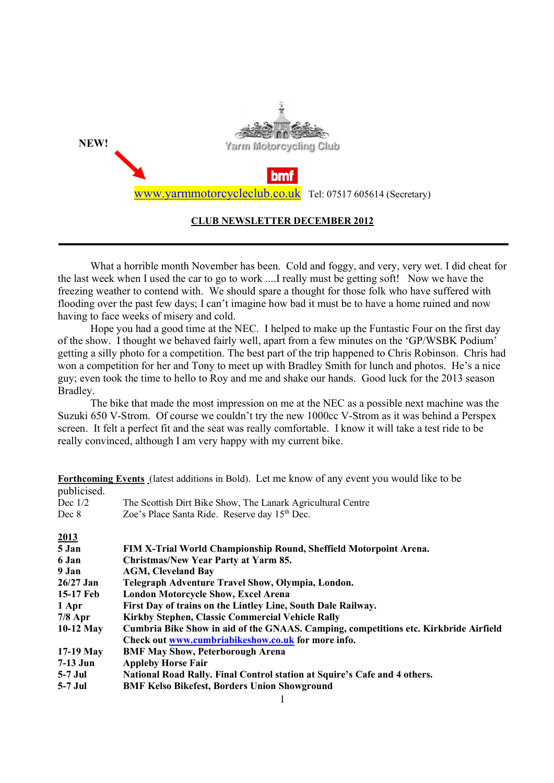

### CLUB NEWSLETTER DECEMBER 2012

What a horrible month November has been. Cold and foggy, and very, very wet. I did cheat for the last week when I used the car to go to work ....I really must be getting soft! Now we have the freezing weather to contend with. We should spare a thought for those folk who have suffered with flooding over the past few days; I can't imagine how bad it must be to have a home ruined and now having to face weeks of misery and cold.

Hope you had a good time at the NEC. I helped to make up the Funtastic Four on the first day of the show. I thought we behaved fairly well, apart from a few minutes on the 'GP/WSBK Podium' getting a silly photo for a competition. The best part of the trip happened to Chris Robinson. Chris had won a competition for her and Tony to meet up with Bradley Smith for lunch and photos. He's a nice guy; even took the time to hello to Roy and me and shake our hands. Good luck for the 2013 season Bradley.

The bike that made the most impression on me at the NEC as a possible next machine was the Suzuki 650 V-Strom. Of course we couldn't try the new 1000cc V-Strom as it was behind a Perspex screen. It felt a perfect fit and the seat was really comfortable. I know it will take a test ride to be really convinced, although I am very happy with my current bike.

Forthcoming Events (latest additions in Bold). Let me know of any event you would like to be publicised. Dec 1/2 The Scottish Dirt Bike Show, The Lanark Agricultural Centre Dec 8 Zoe's Place Santa Ride. Reserve day 15<sup>th</sup> Dec.

| 2013        |                                                                                      |
|-------------|--------------------------------------------------------------------------------------|
| 5 Jan       | FIM X-Trial World Championship Round, Sheffield Motorpoint Arena.                    |
| 6 Jan       | Christmas/New Year Party at Yarm 85.                                                 |
| 9 Jan       | <b>AGM, Cleveland Bay</b>                                                            |
| 26/27 Jan   | Telegraph Adventure Travel Show, Olympia, London.                                    |
| 15-17 Feb   | <b>London Motorcycle Show, Excel Arena</b>                                           |
| 1 Apr       | First Day of trains on the Lintley Line, South Dale Railway.                         |
| $7/8$ Apr   | Kirkby Stephen, Classic Commercial Vehicle Rally                                     |
| $10-12$ May | Cumbria Bike Show in aid of the GNAAS. Camping, competitions etc. Kirkbride Airfield |
|             | Check out www.cumbriabikeshow.co.uk for more info.                                   |
| $17-19$ May | <b>BMF May Show, Peterborough Arena</b>                                              |
| 7-13 Jun    | <b>Appleby Horse Fair</b>                                                            |
| 5-7 Jul     | National Road Rally. Final Control station at Squire's Cafe and 4 others.            |
| 5-7 Jul     | <b>BMF Kelso Bikefest, Borders Union Showground</b>                                  |
|             |                                                                                      |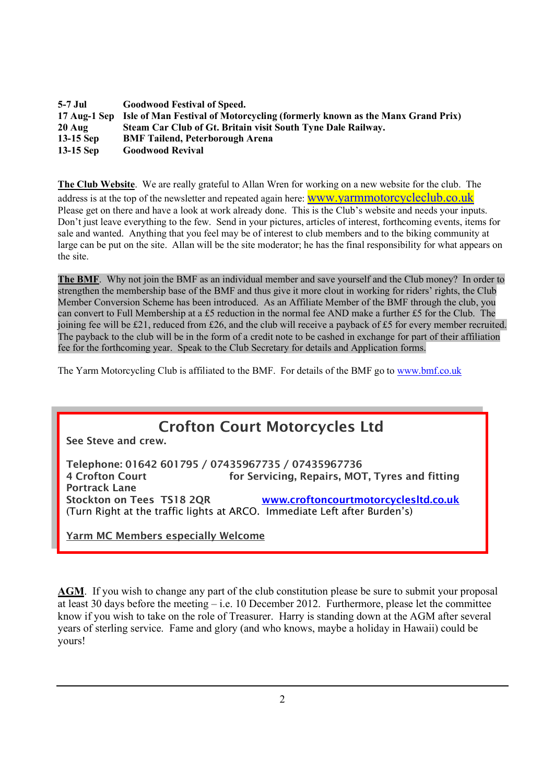| 5-7 Jul          | <b>Goodwood Festival of Speed.</b>                                                        |
|------------------|-------------------------------------------------------------------------------------------|
|                  | 17 Aug-1 Sep Isle of Man Festival of Motorcycling (formerly known as the Manx Grand Prix) |
| $20 \text{ Aug}$ | Steam Car Club of Gt. Britain visit South Tyne Dale Railway.                              |
| $13-15$ Sep      | <b>BMF Tailend, Peterborough Arena</b>                                                    |
| 13-15 Sep        | <b>Goodwood Revival</b>                                                                   |

The Club Website. We are really grateful to Allan Wren for working on a new website for the club. The address is at the top of the newsletter and repeated again here: **WWW.yarmmotorcycleclub.co.uk** Please get on there and have a look at work already done. This is the Club's website and needs your inputs. Don't just leave everything to the few. Send in your pictures, articles of interest, forthcoming events, items for sale and wanted. Anything that you feel may be of interest to club members and to the biking community at large can be put on the site. Allan will be the site moderator; he has the final responsibility for what appears on the site.

The BMF. Why not join the BMF as an individual member and save yourself and the Club money? In order to strengthen the membership base of the BMF and thus give it more clout in working for riders' rights, the Club Member Conversion Scheme has been introduced. As an Affiliate Member of the BMF through the club, you can convert to Full Membership at a £5 reduction in the normal fee AND make a further £5 for the Club. The joining fee will be £21, reduced from £26, and the club will receive a payback of £5 for every member recruited. The payback to the club will be in the form of a credit note to be cashed in exchange for part of their affiliation fee for the forthcoming year. Speak to the Club Secretary for details and Application forms.

The Yarm Motorcycling Club is affiliated to the BMF. For details of the BMF go to www.bmf.co.uk



AGM. If you wish to change any part of the club constitution please be sure to submit your proposal at least 30 days before the meeting – i.e. 10 December 2012. Furthermore, please let the committee know if you wish to take on the role of Treasurer. Harry is standing down at the AGM after several years of sterling service. Fame and glory (and who knows, maybe a holiday in Hawaii) could be yours!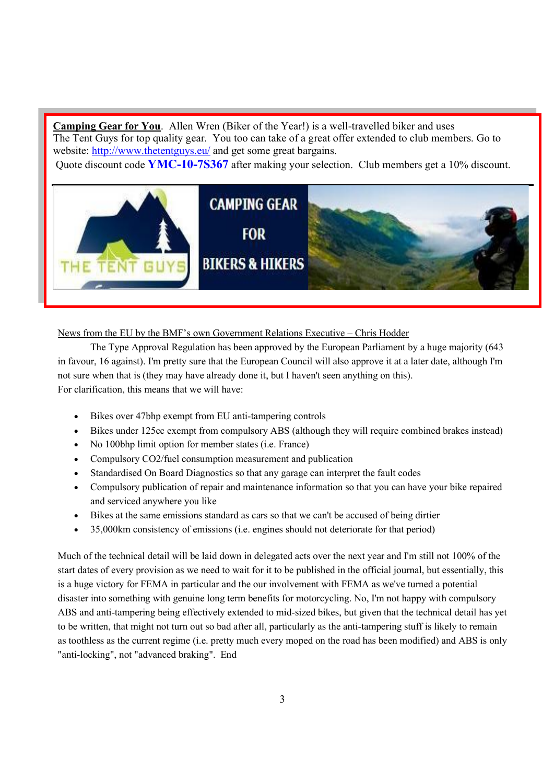Camping Gear for You. Allen Wren (Biker of the Year!) is a well-travelled biker and uses The Tent Guys for top quality gear. You too can take of a great offer extended to club members. Go to website: http://www.thetentguys.eu/ and get some great bargains.

Quote discount code YMC-10-7S367 after making your selection. Club members get a 10% discount.



## News from the EU by the BMF's own Government Relations Executive – Chris Hodder

The Type Approval Regulation has been approved by the European Parliament by a huge majority (643 in favour, 16 against). I'm pretty sure that the European Council will also approve it at a later date, although I'm not sure when that is (they may have already done it, but I haven't seen anything on this). For clarification, this means that we will have:

- Bikes over 47bhp exempt from EU anti-tampering controls
- Bikes under 125cc exempt from compulsory ABS (although they will require combined brakes instead)
- No 100bhp limit option for member states (i.e. France)
- Compulsory CO2/fuel consumption measurement and publication
- Standardised On Board Diagnostics so that any garage can interpret the fault codes
- Compulsory publication of repair and maintenance information so that you can have your bike repaired and serviced anywhere you like
- Bikes at the same emissions standard as cars so that we can't be accused of being dirtier
- 35,000km consistency of emissions (i.e. engines should not deteriorate for that period)

Much of the technical detail will be laid down in delegated acts over the next year and I'm still not 100% of the start dates of every provision as we need to wait for it to be published in the official journal, but essentially, this is a huge victory for FEMA in particular and the our involvement with FEMA as we've turned a potential disaster into something with genuine long term benefits for motorcycling. No, I'm not happy with compulsory ABS and anti-tampering being effectively extended to mid-sized bikes, but given that the technical detail has yet to be written, that might not turn out so bad after all, particularly as the anti-tampering stuff is likely to remain as toothless as the current regime (i.e. pretty much every moped on the road has been modified) and ABS is only "anti-locking", not "advanced braking". End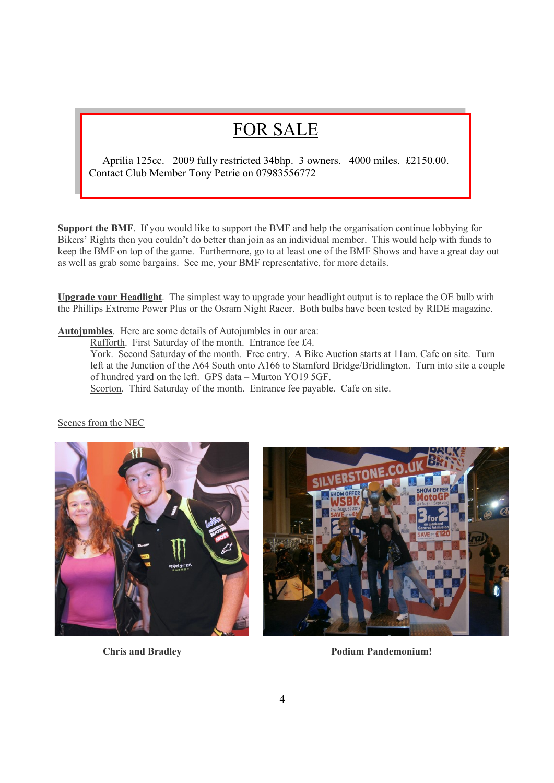# FOR SALE

Aprilia 125cc. 2009 fully restricted 34bhp. 3 owners. 4000 miles. £2150.00. Contact Club Member Tony Petrie on 07983556772

Support the BMF. If you would like to support the BMF and help the organisation continue lobbying for Bikers' Rights then you couldn't do better than join as an individual member. This would help with funds to keep the BMF on top of the game. Furthermore, go to at least one of the BMF Shows and have a great day out as well as grab some bargains. See me, your BMF representative, for more details.

Upgrade your Headlight. The simplest way to upgrade your headlight output is to replace the OE bulb with the Phillips Extreme Power Plus or the Osram Night Racer. Both bulbs have been tested by RIDE magazine.

Autojumbles. Here are some details of Autojumbles in our area:

Rufforth. First Saturday of the month. Entrance fee £4.

York. Second Saturday of the month. Free entry. A Bike Auction starts at 11am. Cafe on site. Turn left at the Junction of the A64 South onto A166 to Stamford Bridge/Bridlington. Turn into site a couple of hundred yard on the left. GPS data – Murton YO19 5GF. Scorton. Third Saturday of the month. Entrance fee payable. Cafe on site.

Scenes from the NEC





**Chris and Bradley Podium Pandemonium!**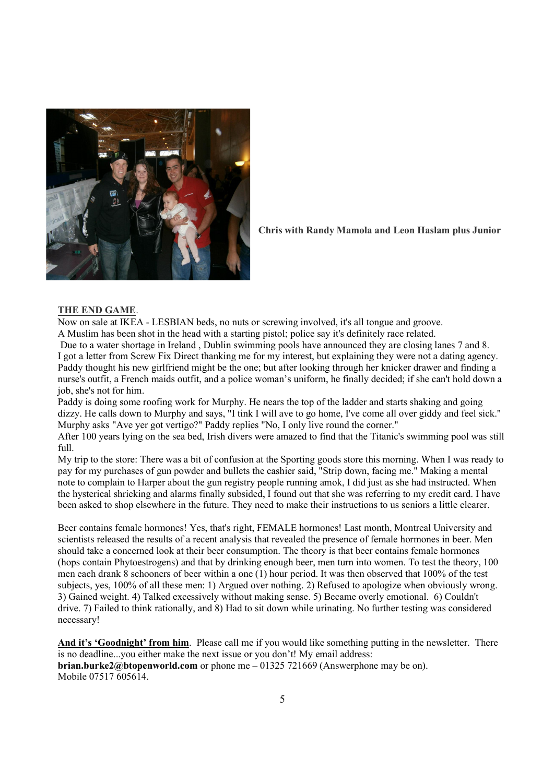

Chris with Randy Mamola and Leon Haslam plus Junior

#### THE END GAME.

Now on sale at IKEA - LESBIAN beds, no nuts or screwing involved, it's all tongue and groove. A Muslim has been shot in the head with a starting pistol; police say it's definitely race related.

 Due to a water shortage in Ireland , Dublin swimming pools have announced they are closing lanes 7 and 8. I got a letter from Screw Fix Direct thanking me for my interest, but explaining they were not a dating agency. Paddy thought his new girlfriend might be the one; but after looking through her knicker drawer and finding a nurse's outfit, a French maids outfit, and a police woman's uniform, he finally decided; if she can't hold down a job, she's not for him.

Paddy is doing some roofing work for Murphy. He nears the top of the ladder and starts shaking and going dizzy. He calls down to Murphy and says, "I tink I will ave to go home, I've come all over giddy and feel sick." Murphy asks "Ave yer got vertigo?" Paddy replies "No, I only live round the corner."

After 100 years lying on the sea bed, Irish divers were amazed to find that the Titanic's swimming pool was still full.

My trip to the store: There was a bit of confusion at the Sporting goods store this morning. When I was ready to pay for my purchases of gun powder and bullets the cashier said, "Strip down, facing me." Making a mental note to complain to Harper about the gun registry people running amok, I did just as she had instructed. When the hysterical shrieking and alarms finally subsided, I found out that she was referring to my credit card. I have been asked to shop elsewhere in the future. They need to make their instructions to us seniors a little clearer.

Beer contains female hormones! Yes, that's right, FEMALE hormones! Last month, Montreal University and scientists released the results of a recent analysis that revealed the presence of female hormones in beer. Men should take a concerned look at their beer consumption. The theory is that beer contains female hormones (hops contain Phytoestrogens) and that by drinking enough beer, men turn into women. To test the theory, 100 men each drank 8 schooners of beer within a one (1) hour period. It was then observed that 100% of the test subjects, yes, 100% of all these men: 1) Argued over nothing. 2) Refused to apologize when obviously wrong. 3) Gained weight. 4) Talked excessively without making sense. 5) Became overly emotional. 6) Couldn't drive. 7) Failed to think rationally, and 8) Had to sit down while urinating. No further testing was considered necessary!

And it's 'Goodnight' from him. Please call me if you would like something putting in the newsletter. There is no deadline...you either make the next issue or you don't! My email address: **brian.burke2@btopenworld.com** or phone me  $-01325721669$  (Answerphone may be on). Mobile 07517 605614.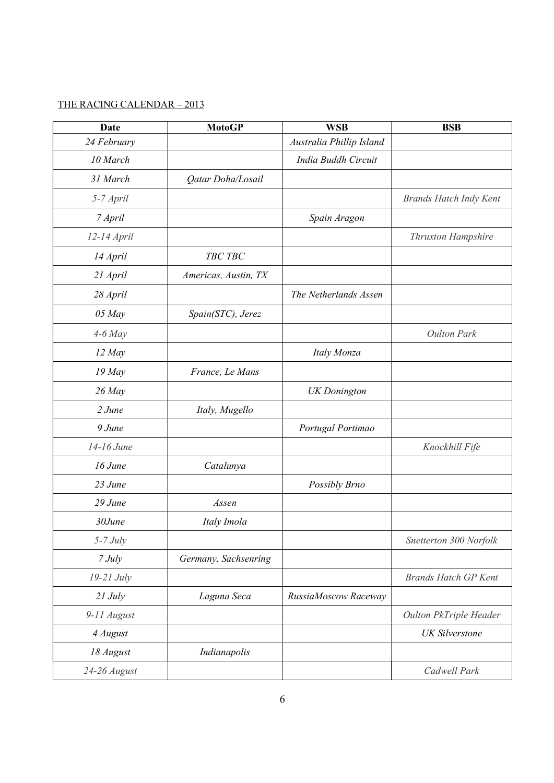# THE RACING CALENDAR – 2013

| Date         | <b>MotoGP</b>        | <b>WSB</b>               | <b>BSB</b>                    |
|--------------|----------------------|--------------------------|-------------------------------|
| 24 February  |                      | Australia Phillip Island |                               |
| 10 March     |                      | India Buddh Circuit      |                               |
| 31 March     | Qatar Doha/Losail    |                          |                               |
| 5-7 April    |                      |                          | <b>Brands Hatch Indy Kent</b> |
| 7 April      |                      | Spain Aragon             |                               |
| 12-14 April  |                      |                          | <b>Thruxton Hampshire</b>     |
| 14 April     | TBC TBC              |                          |                               |
| 21 April     | Americas, Austin, TX |                          |                               |
| 28 April     |                      | The Netherlands Assen    |                               |
| $05$ May     | Spain(STC), Jerez    |                          |                               |
| $4-6$ May    |                      |                          | <b>Oulton Park</b>            |
| 12 May       |                      | Italy Monza              |                               |
| $19$ May     | France, Le Mans      |                          |                               |
| $26$ May     |                      | <b>UK</b> Donington      |                               |
| 2 June       | Italy, Mugello       |                          |                               |
| $9$ June     |                      | Portugal Portimao        |                               |
| 14-16 June   |                      |                          | Knockhill Fife                |
| 16 June      | Catalunya            |                          |                               |
| 23 June      |                      | Possibly Brno            |                               |
| 29 June      | Assen                |                          |                               |
| 30June       | Italy Imola          |                          |                               |
| $5-7$ July   |                      |                          | Snetterton 300 Norfolk        |
| $7$ July     | Germany, Sachsenring |                          |                               |
| $19-21$ July |                      |                          | <b>Brands Hatch GP Kent</b>   |
| $21$ July    | Laguna Seca          | RussiaMoscow Raceway     |                               |
| 9-11 August  |                      |                          | Oulton PkTriple Header        |
| 4 August     |                      |                          | <b>UK</b> Silverstone         |
| 18 August    | Indianapolis         |                          |                               |
| 24-26 August |                      |                          | Cadwell Park                  |